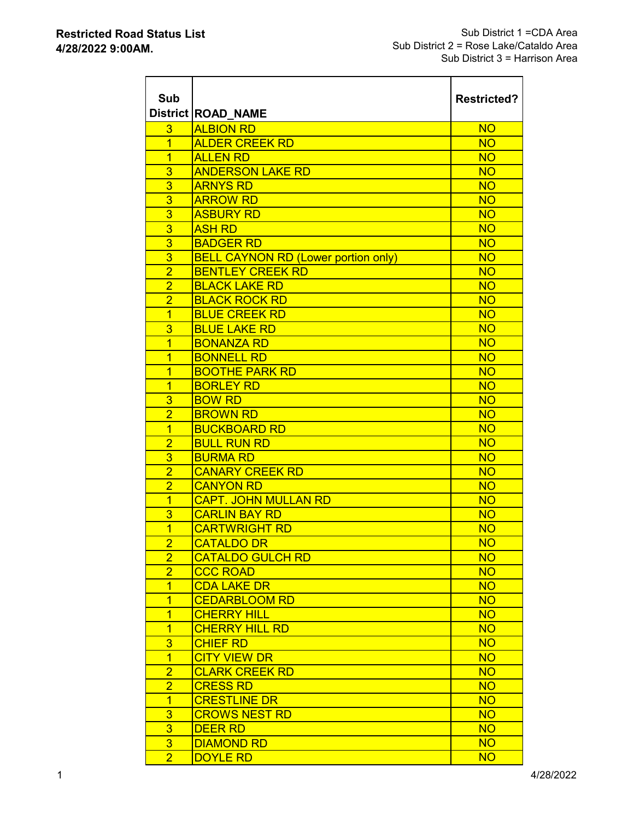$\overline{1}$  and  $\overline{1}$  and  $\overline{1}$  and  $\overline{1}$  and  $\overline{1}$ 

| Sub                              | <b>District ROAD NAME</b>                  | <b>Restricted?</b>     |
|----------------------------------|--------------------------------------------|------------------------|
| 3                                | <b>ALBION RD</b>                           | <b>NO</b>              |
| $\overline{1}$                   | <b>ALDER CREEK RD</b>                      | <b>NO</b>              |
| $\overline{1}$                   | <b>ALLEN RD</b>                            | <b>NO</b>              |
| 3                                | <b>ANDERSON LAKE RD</b>                    | <b>NO</b>              |
| 3                                | <b>ARNYS RD</b>                            | <b>NO</b>              |
| 3                                | <b>ARROW RD</b>                            | <b>NO</b>              |
| 3                                | <b>ASBURY RD</b>                           | <b>NO</b>              |
| 3                                | <b>ASH RD</b>                              | <b>NO</b>              |
| 3                                | <b>BADGER RD</b>                           | <b>NO</b>              |
| $\overline{3}$                   | <b>BELL CAYNON RD (Lower portion only)</b> | <b>NO</b>              |
| $\overline{2}$                   | <b>BENTLEY CREEK RD</b>                    | <b>NO</b>              |
| $\overline{2}$                   | <b>BLACK LAKE RD</b>                       | <b>NO</b>              |
| $\overline{2}$                   | <b>BLACK ROCK RD</b>                       | <b>NO</b>              |
| $\overline{1}$                   | <b>BLUE CREEK RD</b>                       | <b>NO</b>              |
| 3                                | <b>BLUE LAKE RD</b>                        | <b>NO</b>              |
| $\overline{1}$                   | <b>BONANZA RD</b>                          | <b>NO</b>              |
| $\overline{1}$<br>$\overline{1}$ | <b>BONNELL RD</b>                          | <b>NO</b>              |
| 1                                | <b>BOOTHE PARK RD</b><br><b>BORLEY RD</b>  | <b>NO</b><br><b>NO</b> |
| 3                                | <b>BOW RD</b>                              | <b>NO</b>              |
| $\overline{2}$                   | <b>BROWN RD</b>                            | <b>NO</b>              |
| $\overline{1}$                   | <b>BUCKBOARD RD</b>                        | <b>NO</b>              |
| $\overline{2}$                   | <b>BULL RUN RD</b>                         | <b>NO</b>              |
| $\overline{3}$                   | <b>BURMA RD</b>                            | <b>NO</b>              |
| $\overline{2}$                   | <b>CANARY CREEK RD</b>                     | <b>NO</b>              |
| $\overline{2}$                   | <b>CANYON RD</b>                           | <b>NO</b>              |
| $\overline{1}$                   | <b>CAPT. JOHN MULLAN RD</b>                | <b>NO</b>              |
| 3                                | <b>CARLIN BAY RD</b>                       | <b>NO</b>              |
| 1                                | <b>CARTWRIGHT RD</b>                       | <b>NO</b>              |
| $\overline{2}$                   | <b>CATALDO DR</b>                          | <b>NO</b>              |
| $\overline{2}$                   | <b>CATALDO GULCH RD</b>                    | <b>NO</b>              |
| $\overline{2}$                   | <b>CCC ROAD</b>                            | <b>NO</b>              |
| 1                                | <b>CDA LAKE DR</b>                         | <b>NO</b>              |
| $\overline{1}$                   | <b>CEDARBLOOM RD</b>                       | <b>NO</b>              |
| $\overline{1}$                   | <b>CHERRY HILL</b>                         | <b>NO</b>              |
| $\overline{1}$                   | <b>CHERRY HILL RD</b>                      | <b>NO</b>              |
| 3                                | <b>CHIEF RD</b>                            | <b>NO</b>              |
| $\overline{1}$                   | <b>CITY VIEW DR</b>                        | <b>NO</b>              |
| $\overline{2}$                   | <b>CLARK CREEK RD</b>                      | <b>NO</b>              |
| $\overline{2}$                   | <b>CRESS RD</b>                            | <b>NO</b>              |
| $\overline{1}$                   | <b>CRESTLINE DR</b>                        | <b>NO</b>              |
| 3                                | <b>CROWS NEST RD</b>                       | <b>NO</b>              |
| $\overline{3}$                   | <b>DEER RD</b>                             | <b>NO</b>              |
| 3 <sup>2</sup>                   | <b>DIAMOND RD</b>                          | <b>NO</b>              |
| $\overline{2}$                   | <b>DOYLE RD</b>                            | <b>NO</b>              |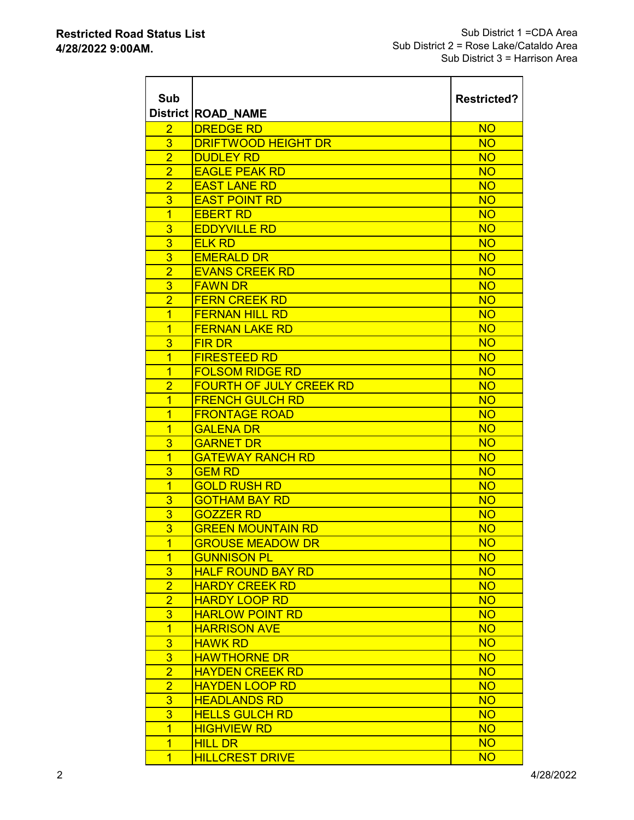| Sub            | <b>District ROAD NAME</b>      | <b>Restricted?</b> |
|----------------|--------------------------------|--------------------|
| $\overline{2}$ | <b>DREDGE RD</b>               | <b>NO</b>          |
| 3              | <b>DRIFTWOOD HEIGHT DR</b>     | <b>NO</b>          |
| $\overline{2}$ | <b>DUDLEY RD</b>               | <b>NO</b>          |
| $\overline{2}$ | <b>EAGLE PEAK RD</b>           | <b>NO</b>          |
| $\overline{2}$ | <b>EAST LANE RD</b>            | <b>NO</b>          |
| 3              | <b>EAST POINT RD</b>           | <b>NO</b>          |
| $\overline{1}$ | <b>EBERT RD</b>                | <b>NO</b>          |
| 3              | <b>EDDYVILLE RD</b>            | <b>NO</b>          |
| 3              | <b>ELK RD</b>                  | <b>NO</b>          |
| 3              | <b>EMERALD DR</b>              | <b>NO</b>          |
| $\overline{2}$ | <b>EVANS CREEK RD</b>          | <b>NO</b>          |
| 3              | <b>FAWN DR</b>                 | <b>NO</b>          |
| $\overline{2}$ | <b>FERN CREEK RD</b>           | <b>NO</b>          |
| $\overline{1}$ | <b>FERNAN HILL RD</b>          | <b>NO</b>          |
| $\overline{1}$ | <b>FERNAN LAKE RD</b>          | <b>NO</b>          |
| 3              | <b>FIRDR</b>                   | <b>NO</b>          |
| $\overline{1}$ | <b>FIRESTEED RD</b>            | <b>NO</b>          |
| $\overline{1}$ | <b>FOLSOM RIDGE RD</b>         | <b>NO</b>          |
| $\overline{2}$ | <b>FOURTH OF JULY CREEK RD</b> | <b>NO</b>          |
| $\overline{1}$ | <b>FRENCH GULCH RD</b>         | <b>NO</b>          |
| $\overline{1}$ | <b>FRONTAGE ROAD</b>           | <b>NO</b>          |
| $\overline{1}$ | <b>GALENA DR</b>               | <b>NO</b>          |
| 3              | <b>GARNET DR</b>               | <b>NO</b>          |
| $\overline{1}$ | <b>GATEWAY RANCH RD</b>        | <b>NO</b>          |
| 3              | <b>GEM RD</b>                  | <b>NO</b>          |
| $\overline{1}$ | <b>GOLD RUSH RD</b>            | <b>NO</b>          |
| 3              | <b>GOTHAM BAY RD</b>           | <b>NO</b>          |
| 3              | <b>GOZZER RD</b>               | <b>NO</b>          |
| 3              | <b>GREEN MOUNTAIN RD</b>       | <b>NO</b>          |
| $\overline{1}$ | <b>GROUSE MEADOW DR</b>        | <b>NO</b>          |
| $\overline{1}$ | <b>GUNNISON PL</b>             | <b>NO</b>          |
| 3              | <b>HALF ROUND BAY RD</b>       | <b>NO</b>          |
| $\overline{2}$ | <b>HARDY CREEK RD</b>          | <b>NO</b>          |
| $\overline{2}$ | <b>HARDY LOOP RD</b>           | <b>NO</b>          |
| 3              | <b>HARLOW POINT RD</b>         | <b>NO</b>          |
| $\overline{1}$ | <b>HARRISON AVE</b>            | <b>NO</b>          |
| 3              | <b>HAWK RD</b>                 | <b>NO</b>          |
| 3              | <b>HAWTHORNE DR</b>            | <b>NO</b>          |
| $\overline{2}$ | <b>HAYDEN CREEK RD</b>         | <b>NO</b>          |
| $\overline{2}$ | <b>HAYDEN LOOP RD</b>          | <b>NO</b>          |
| 3              | <b>HEADLANDS RD</b>            | <b>NO</b>          |
| 3              | <b>HELLS GULCH RD</b>          | <b>NO</b>          |
| $\overline{1}$ | <b>HIGHVIEW RD</b>             | <b>NO</b>          |
| $\overline{1}$ | <b>HILL DR</b>                 | <b>NO</b>          |
| $\overline{1}$ | <b>HILLCREST DRIVE</b>         | <b>NO</b>          |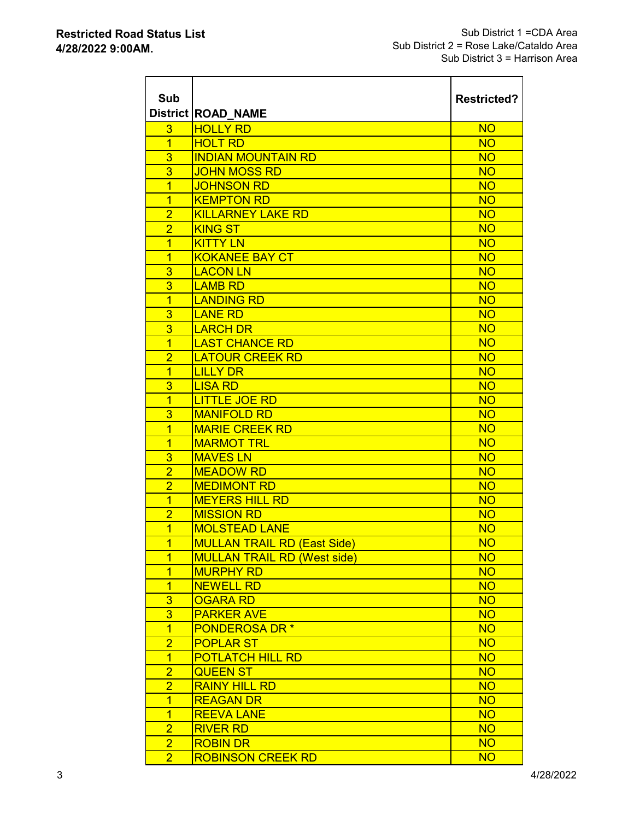$\overline{a}$  and  $\overline{a}$  and  $\overline{a}$  and  $\overline{a}$ 

| Sub            | <b>District ROAD NAME</b>          | <b>Restricted?</b> |
|----------------|------------------------------------|--------------------|
| 3              | <b>HOLLY RD</b>                    | <b>NO</b>          |
| $\overline{1}$ | <b>HOLT RD</b>                     | <b>NO</b>          |
| 3              | <b>INDIAN MOUNTAIN RD</b>          | <b>NO</b>          |
| 3              | <b>JOHN MOSS RD</b>                | <b>NO</b>          |
| $\overline{1}$ | <b>JOHNSON RD</b>                  | <b>NO</b>          |
| $\overline{1}$ | <b>KEMPTON RD</b>                  | <b>NO</b>          |
| $\overline{2}$ | <b>KILLARNEY LAKE RD</b>           | <b>NO</b>          |
| $\overline{2}$ | <b>KING ST</b>                     | <b>NO</b>          |
| $\overline{1}$ | <b>KITTY LN</b>                    | <b>NO</b>          |
| $\overline{1}$ | <b>KOKANEE BAY CT</b>              | <b>NO</b>          |
| 3              | <b>LACON LN</b>                    | <b>NO</b>          |
| 3              | <b>LAMB RD</b>                     | <b>NO</b>          |
| $\overline{1}$ | <b>LANDING RD</b>                  | <b>NO</b>          |
| 3              | <b>LANE RD</b>                     | <b>NO</b>          |
| 3              | <b>LARCH DR</b>                    | <b>NO</b>          |
| $\overline{1}$ | <b>LAST CHANCE RD</b>              | <b>NO</b>          |
| $\overline{2}$ | <b>LATOUR CREEK RD</b>             | <b>NO</b>          |
| $\overline{1}$ | <b>LILLY DR</b>                    | <b>NO</b>          |
| 3              | <b>LISA RD</b>                     | <b>NO</b>          |
| $\overline{1}$ | <b>LITTLE JOE RD</b>               | <b>NO</b>          |
| 3              | <b>MANIFOLD RD</b>                 | <b>NO</b>          |
| $\overline{1}$ | <b>MARIE CREEK RD</b>              | <b>NO</b>          |
| $\overline{1}$ | <b>MARMOT TRL</b>                  | <b>NO</b>          |
| 3              | <b>MAVES LN</b>                    | <b>NO</b>          |
| $\overline{2}$ | <b>MEADOW RD</b>                   | <b>NO</b>          |
| $\overline{2}$ | <b>MEDIMONT RD</b>                 | <b>NO</b>          |
| 1              | <b>MEYERS HILL RD</b>              | <b>NO</b>          |
| $\overline{2}$ | <b>MISSION RD</b>                  | <b>NO</b>          |
| $\overline{1}$ | <b>MOLSTEAD LANE</b>               | <b>NO</b>          |
| $\overline{1}$ | <b>MULLAN TRAIL RD (East Side)</b> | <b>NO</b>          |
| $\mathbf{1}$   | <b>MULLAN TRAIL RD (West side)</b> | <b>NO</b>          |
| $\overline{1}$ | <b>MURPHY RD</b>                   | <b>NO</b>          |
| $\overline{1}$ | <b>NEWELL RD</b>                   | <b>NO</b>          |
| 3              | <b>OGARA RD</b>                    | <b>NO</b>          |
| 3              | <b>PARKER AVE</b>                  | <b>NO</b>          |
| $\overline{1}$ | <b>PONDEROSA DR*</b>               | <b>NO</b>          |
| $\overline{2}$ | <b>POPLAR ST</b>                   | <b>NO</b>          |
| $\overline{1}$ | <b>POTLATCH HILL RD</b>            | <b>NO</b>          |
| $\overline{2}$ | <b>QUEEN ST</b>                    | <b>NO</b>          |
| $\overline{2}$ | <b>RAINY HILL RD</b>               | <b>NO</b>          |
| $\overline{1}$ | <b>REAGAN DR</b>                   | <b>NO</b>          |
| $\overline{1}$ | <b>REEVA LANE</b>                  | <b>NO</b>          |
| $\overline{2}$ | <b>RIVER RD</b>                    | <b>NO</b>          |
| $\overline{2}$ | <b>ROBIN DR</b>                    | <b>NO</b>          |
| $\overline{2}$ | <b>ROBINSON CREEK RD</b>           | <b>NO</b>          |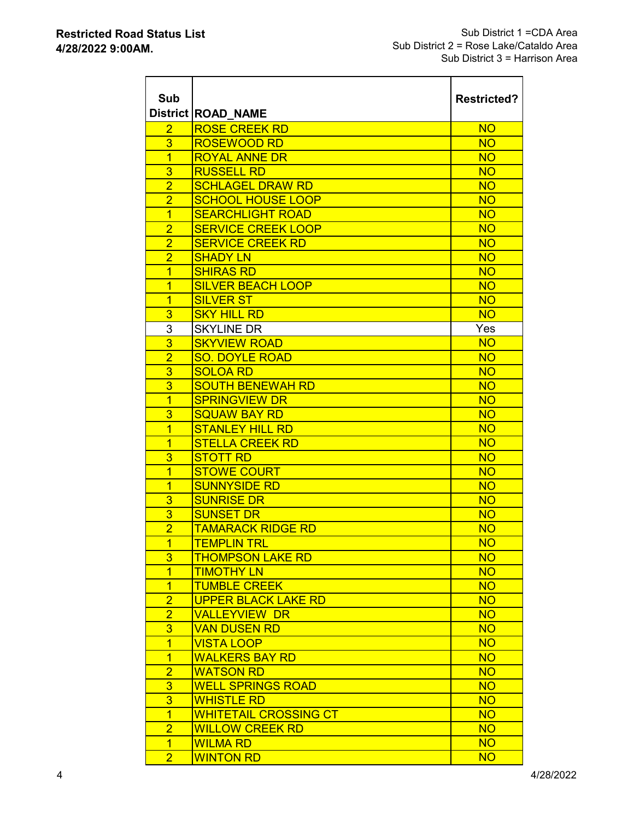$\overline{\phantom{a}}$  , and the set of  $\overline{\phantom{a}}$ 

| Sub                 | <b>District ROAD NAME</b>                    | <b>Restricted?</b>     |
|---------------------|----------------------------------------------|------------------------|
| $\overline{2}$      | <b>ROSE CREEK RD</b>                         | <b>NO</b>              |
| 3                   | <b>ROSEWOOD RD</b>                           | <b>NO</b>              |
| $\overline{1}$      | <b>ROYAL ANNE DR</b>                         | <b>NO</b>              |
| 3                   | <b>RUSSELL RD</b>                            | <b>NO</b>              |
| $\overline{2}$      | <b>SCHLAGEL DRAW RD</b>                      | <b>NO</b>              |
| $\overline{2}$      | <b>SCHOOL HOUSE LOOP</b>                     | <b>NO</b>              |
| $\overline{1}$      | <b>SEARCHLIGHT ROAD</b>                      | <b>NO</b>              |
| $\overline{2}$      | <b>SERVICE CREEK LOOP</b>                    | <b>NO</b>              |
| $\overline{2}$      | <b>SERVICE CREEK RD</b>                      | <b>NO</b>              |
| $\overline{2}$      | <b>SHADY LN</b>                              | <b>NO</b>              |
| $\overline{1}$      | <b>SHIRAS RD</b>                             | <b>NO</b>              |
| $\overline{1}$      | <b>SILVER BEACH LOOP</b>                     | <b>NO</b>              |
| 1                   | <b>SILVER ST</b>                             | <b>NO</b>              |
| 3                   | <b>SKY HILL RD</b>                           | <b>NO</b>              |
| 3                   | <b>SKYLINE DR</b>                            | Yes                    |
| $\overline{3}$      | <b>SKYVIEW ROAD</b>                          | <b>NO</b>              |
| $\overline{2}$      | <b>SO. DOYLE ROAD</b>                        | <b>NO</b>              |
| 3                   | <b>SOLOA RD</b>                              | <b>NO</b>              |
| $\overline{3}$      | <b>SOUTH BENEWAH RD</b>                      | <b>NO</b>              |
| $\overline{1}$      | <b>SPRINGVIEW DR</b>                         | <b>NO</b>              |
| 3                   | <b>SQUAW BAY RD</b>                          | <b>NO</b>              |
| $\overline{1}$      | <b>STANLEY HILL RD</b>                       | <b>NO</b>              |
| $\overline{1}$      | <b>STELLA CREEK RD</b>                       | <b>NO</b>              |
| 3                   | <b>STOTT RD</b>                              | <b>NO</b>              |
| $\overline{1}$      | <b>STOWE COURT</b>                           | <b>NO</b>              |
| $\overline{1}$      | <b>SUNNYSIDE RD</b>                          | <b>NO</b>              |
| 3                   | <b>SUNRISE DR</b>                            | <b>NO</b>              |
| 3<br>$\overline{2}$ | <b>SUNSET DR</b><br><b>TAMARACK RIDGE RD</b> | <b>NO</b><br><b>NO</b> |
| $\overline{1}$      | <b>TEMPLIN TRL</b>                           | <b>NO</b>              |
| 3                   | <b>THOMPSON LAKE RD</b>                      | <b>NO</b>              |
| $\overline{1}$      | <b>TIMOTHY LN</b>                            | <b>NO</b>              |
| $\overline{1}$      | <b>TUMBLE CREEK</b>                          | <b>NO</b>              |
| $\overline{2}$      | <b>UPPER BLACK LAKE RD</b>                   | <b>NO</b>              |
| $\overline{2}$      | <b>VALLEYVIEW DR</b>                         | <b>NO</b>              |
| 3                   | <b>VAN DUSEN RD</b>                          | <b>NO</b>              |
| $\overline{1}$      | <b>VISTA LOOP</b>                            | <b>NO</b>              |
| $\overline{1}$      | <b>WALKERS BAY RD</b>                        | <b>NO</b>              |
| $\overline{2}$      | <b>WATSON RD</b>                             | <b>NO</b>              |
| 3                   | <b>WELL SPRINGS ROAD</b>                     | <b>NO</b>              |
| $\overline{3}$      | <b>WHISTLE RD</b>                            | <b>NO</b>              |
| $\overline{1}$      | <b>WHITETAIL CROSSING CT</b>                 | <b>NO</b>              |
| $\overline{2}$      | <b>WILLOW CREEK RD</b>                       | <b>NO</b>              |
| $\overline{1}$      | <b>WILMA RD</b>                              | <b>NO</b>              |
| $\overline{2}$      | <b>WINTON RD</b>                             | <b>NO</b>              |